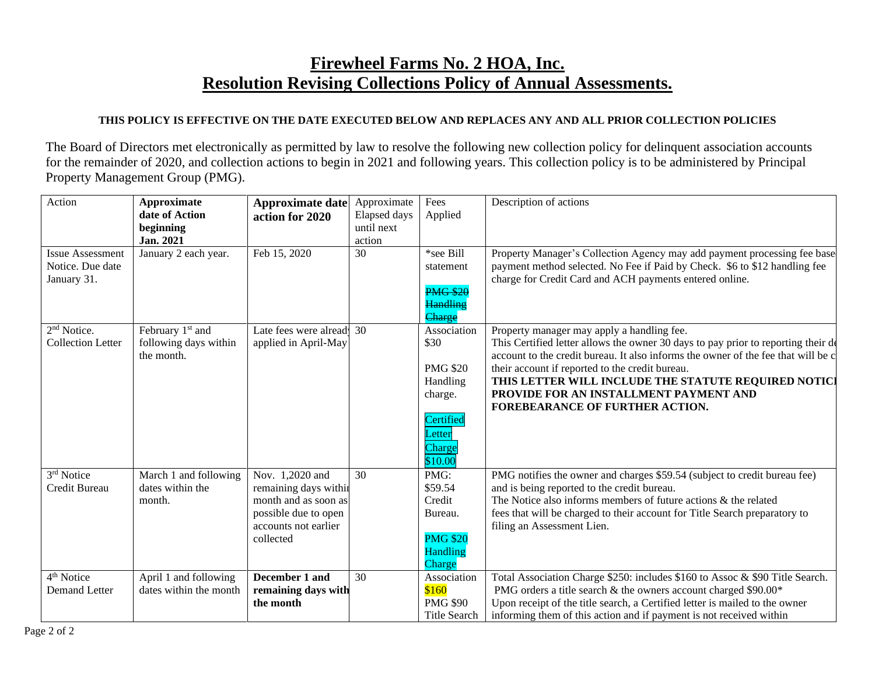## **Firewheel Farms No. 2 HOA, Inc. Resolution Revising Collections Policy of Annual Assessments.**

## **THIS POLICY IS EFFECTIVE ON THE DATE EXECUTED BELOW AND REPLACES ANY AND ALL PRIOR COLLECTION POLICIES**

The Board of Directors met electronically as permitted by law to resolve the following new collection policy for delinquent association accounts for the remainder of 2020, and collection actions to begin in 2021 and following years. This collection policy is to be administered by Principal Property Management Group (PMG).

| Action                                                     | Approximate<br>date of Action<br>beginning                          | Approximate date<br>action for 2020                                                                                           | Approximate<br>Elapsed days<br>until next | Fees<br>Applied                                                                                           | Description of actions                                                                                                                                                                                                                                                                                                                                                                                       |
|------------------------------------------------------------|---------------------------------------------------------------------|-------------------------------------------------------------------------------------------------------------------------------|-------------------------------------------|-----------------------------------------------------------------------------------------------------------|--------------------------------------------------------------------------------------------------------------------------------------------------------------------------------------------------------------------------------------------------------------------------------------------------------------------------------------------------------------------------------------------------------------|
|                                                            | Jan. 2021                                                           |                                                                                                                               | action                                    |                                                                                                           |                                                                                                                                                                                                                                                                                                                                                                                                              |
| <b>Issue Assessment</b><br>Notice. Due date<br>January 31. | January 2 each year.                                                | Feb 15, 2020                                                                                                                  | 30                                        | *see Bill<br>statement<br><b>PMG \$20</b><br><b>Handling</b><br>Charge                                    | Property Manager's Collection Agency may add payment processing fee base<br>payment method selected. No Fee if Paid by Check. \$6 to \$12 handling fee<br>charge for Credit Card and ACH payments entered online.                                                                                                                                                                                            |
| 2 <sup>nd</sup> Notice.<br><b>Collection Letter</b>        | February 1 <sup>st</sup> and<br>following days within<br>the month. | Late fees were alread 30<br>applied in April-May                                                                              |                                           | Association<br>\$30<br><b>PMG \$20</b><br>Handling<br>charge.<br>Certified<br>Letter<br>Charge<br>\$10.00 | Property manager may apply a handling fee.<br>This Certified letter allows the owner 30 days to pay prior to reporting their de<br>account to the credit bureau. It also informs the owner of the fee that will be c<br>their account if reported to the credit bureau.<br>THIS LETTER WILL INCLUDE THE STATUTE REQUIRED NOTICI<br>PROVIDE FOR AN INSTALLMENT PAYMENT AND<br>FOREBEARANCE OF FURTHER ACTION. |
| 3rd Notice<br>Credit Bureau                                | March 1 and following<br>dates within the<br>month.                 | Nov. 1,2020 and<br>remaining days within<br>month and as soon as<br>possible due to open<br>accounts not earlier<br>collected | 30                                        | PMG:<br>\$59.54<br>Credit<br>Bureau.<br><b>PMG \$20</b><br><b>Handling</b><br>Charge                      | PMG notifies the owner and charges \$59.54 (subject to credit bureau fee)<br>and is being reported to the credit bureau.<br>The Notice also informs members of future actions $\&$ the related<br>fees that will be charged to their account for Title Search preparatory to<br>filing an Assessment Lien.                                                                                                   |
| 4 <sup>th</sup> Notice<br><b>Demand Letter</b>             | April 1 and following<br>dates within the month                     | December 1 and<br>remaining days with<br>the month                                                                            | 30                                        | Association<br>\$160<br><b>PMG \$90</b><br><b>Title Search</b>                                            | Total Association Charge \$250: includes \$160 to Assoc & \$90 Title Search.<br>PMG orders a title search & the owners account charged \$90.00*<br>Upon receipt of the title search, a Certified letter is mailed to the owner<br>informing them of this action and if payment is not received within                                                                                                        |